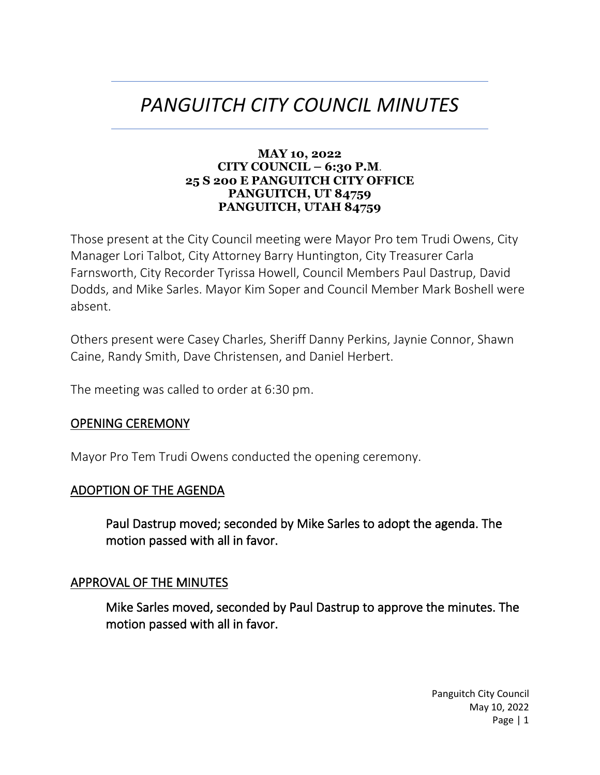# *PANGUITCH CITY COUNCIL MINUTES*

#### **MAY 10, 2022 CITY COUNCIL – 6:30 P.M**. **25 S 200 E PANGUITCH CITY OFFICE PANGUITCH, UT 84759 PANGUITCH, UTAH 84759**

Those present at the City Council meeting were Mayor Pro tem Trudi Owens, City Manager Lori Talbot, City Attorney Barry Huntington, City Treasurer Carla Farnsworth, City Recorder Tyrissa Howell, Council Members Paul Dastrup, David Dodds, and Mike Sarles. Mayor Kim Soper and Council Member Mark Boshell were absent.

Others present were Casey Charles, Sheriff Danny Perkins, Jaynie Connor, Shawn Caine, Randy Smith, Dave Christensen, and Daniel Herbert.

The meeting was called to order at 6:30 pm.

#### OPENING CEREMONY

Mayor Pro Tem Trudi Owens conducted the opening ceremony.

#### ADOPTION OF THE AGENDA

Paul Dastrup moved; seconded by Mike Sarles to adopt the agenda. The motion passed with all in favor.

#### APPROVAL OF THE MINUTES

Mike Sarles moved, seconded by Paul Dastrup to approve the minutes. The motion passed with all in favor.

> Panguitch City Council May 10, 2022 Page | 1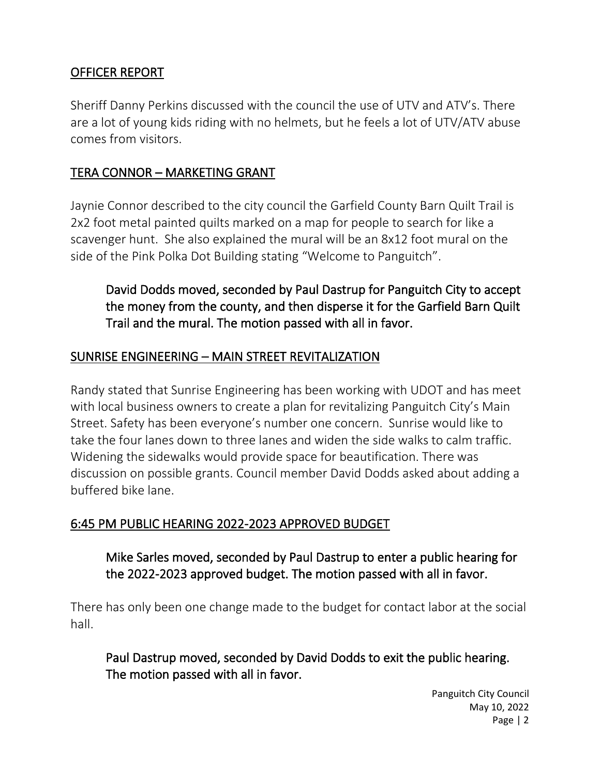# OFFICER REPORT

Sheriff Danny Perkins discussed with the council the use of UTV and ATV's. There are a lot of young kids riding with no helmets, but he feels a lot of UTV/ATV abuse comes from visitors.

### TERA CONNOR – MARKETING GRANT

Jaynie Connor described to the city council the Garfield County Barn Quilt Trail is 2x2 foot metal painted quilts marked on a map for people to search for like a scavenger hunt. She also explained the mural will be an 8x12 foot mural on the side of the Pink Polka Dot Building stating "Welcome to Panguitch".

David Dodds moved, seconded by Paul Dastrup for Panguitch City to accept the money from the county, and then disperse it for the Garfield Barn Quilt Trail and the mural. The motion passed with all in favor.

#### SUNRISE ENGINEERING – MAIN STREET REVITALIZATION

Randy stated that Sunrise Engineering has been working with UDOT and has meet with local business owners to create a plan for revitalizing Panguitch City's Main Street. Safety has been everyone's number one concern. Sunrise would like to take the four lanes down to three lanes and widen the side walks to calm traffic. Widening the sidewalks would provide space for beautification. There was discussion on possible grants. Council member David Dodds asked about adding a buffered bike lane.

#### 6:45 PM PUBLIC HEARING 2022-2023 APPROVED BUDGET

# Mike Sarles moved, seconded by Paul Dastrup to enter a public hearing for the 2022-2023 approved budget. The motion passed with all in favor.

There has only been one change made to the budget for contact labor at the social hall.

Paul Dastrup moved, seconded by David Dodds to exit the public hearing. The motion passed with all in favor.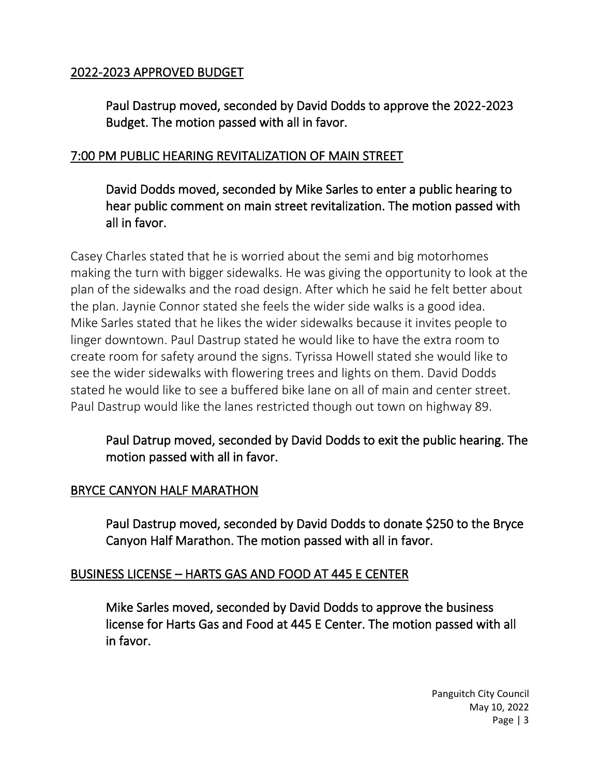### 2022-2023 APPROVED BUDGET

Paul Dastrup moved, seconded by David Dodds to approve the 2022-2023 Budget. The motion passed with all in favor.

# 7:00 PM PUBLIC HEARING REVITALIZATION OF MAIN STREET

David Dodds moved, seconded by Mike Sarles to enter a public hearing to hear public comment on main street revitalization. The motion passed with all in favor.

Casey Charles stated that he is worried about the semi and big motorhomes making the turn with bigger sidewalks. He was giving the opportunity to look at the plan of the sidewalks and the road design. After which he said he felt better about the plan. Jaynie Connor stated she feels the wider side walks is a good idea. Mike Sarles stated that he likes the wider sidewalks because it invites people to linger downtown. Paul Dastrup stated he would like to have the extra room to create room for safety around the signs. Tyrissa Howell stated she would like to see the wider sidewalks with flowering trees and lights on them. David Dodds stated he would like to see a buffered bike lane on all of main and center street. Paul Dastrup would like the lanes restricted though out town on highway 89.

Paul Datrup moved, seconded by David Dodds to exit the public hearing. The motion passed with all in favor.

#### BRYCE CANYON HALF MARATHON

Paul Dastrup moved, seconded by David Dodds to donate \$250 to the Bryce Canyon Half Marathon. The motion passed with all in favor.

#### BUSINESS LICENSE – HARTS GAS AND FOOD AT 445 E CENTER

Mike Sarles moved, seconded by David Dodds to approve the business license for Harts Gas and Food at 445 E Center. The motion passed with all in favor.